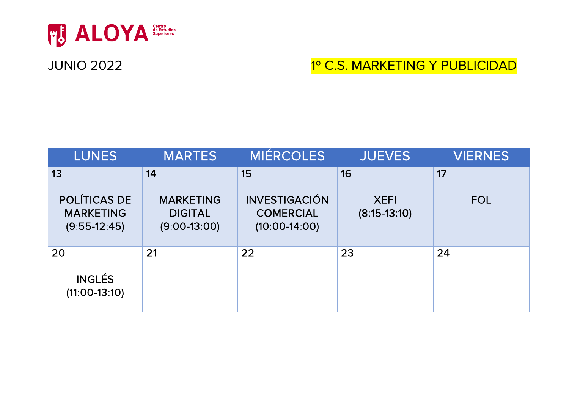

### JUNIO 2022 **1º C.S. MARKETING Y PUBLICIDAD**

| <b>LUNES</b>                                              | <b>MARTES</b>                                        | <b>MIÉRCOLES</b>                                            | <b>JUEVES</b>                 | <b>VIERNES</b> |
|-----------------------------------------------------------|------------------------------------------------------|-------------------------------------------------------------|-------------------------------|----------------|
| 13                                                        | 14                                                   | 15                                                          | 16                            | 17             |
| <b>POLÍTICAS DE</b><br><b>MARKETING</b><br>$(9:55-12:45)$ | <b>MARKETING</b><br><b>DIGITAL</b><br>$(9:00-13:00)$ | <b>INVESTIGACIÓN</b><br><b>COMERCIAL</b><br>$(10:00-14:00)$ | <b>XEFI</b><br>$(8:15-13:10)$ | <b>FOL</b>     |
| 20<br><b>INGLÉS</b><br>$(11:00-13:10)$                    | 21                                                   | 22                                                          | 23                            | 24             |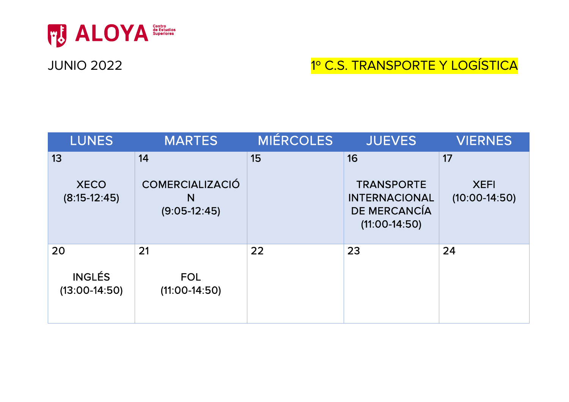

# JUNIO 2022 **1º C.S. TRANSPORTE Y LOGÍSTICA**

| <b>LUNES</b>                           | <b>MARTES</b>                                       | <b>MIÉRCOLES</b> | <b>JUEVES</b>                                                                             | <b>VIERNES</b>                       |
|----------------------------------------|-----------------------------------------------------|------------------|-------------------------------------------------------------------------------------------|--------------------------------------|
| 13<br><b>XECO</b><br>$(8:15-12:45)$    | 14<br><b>COMERCIALIZACIÓ</b><br>N<br>$(9:05-12:45)$ | 15               | 16<br><b>TRANSPORTE</b><br><b>INTERNACIONAL</b><br><b>DE MERCANCÍA</b><br>$(11:00-14:50)$ | 17<br><b>XEFI</b><br>$(10:00-14:50)$ |
| 20<br><b>INGLÉS</b><br>$(13:00-14:50)$ | 21<br><b>FOL</b><br>$(11:00-14:50)$                 | 22               | 23                                                                                        | 24                                   |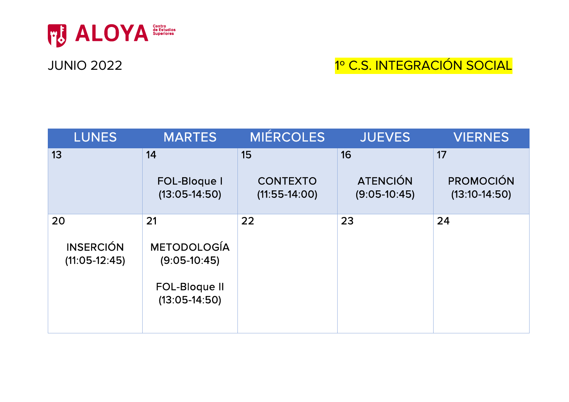

#### JUNIO 2022 1º C.S. INTEGRACIÓN SOCIAL

| <b>LUNES</b>                              | <b>MARTES</b>                                                                         | MIÉRCOLES                                | <b>JUEVES</b>                           | <b>VIERNES</b>                            |
|-------------------------------------------|---------------------------------------------------------------------------------------|------------------------------------------|-----------------------------------------|-------------------------------------------|
| 13                                        | 14<br><b>FOL-Bloque I</b><br>$(13:05-14:50)$                                          | 15<br><b>CONTEXTO</b><br>$(11:55-14:00)$ | 16<br><b>ATENCIÓN</b><br>$(9:05-10:45)$ | 17<br><b>PROMOCIÓN</b><br>$(13:10-14:50)$ |
| 20<br><b>INSERCIÓN</b><br>$(11:05-12:45)$ | 21<br><b>METODOLOGÍA</b><br>$(9:05-10:45)$<br><b>FOL-Bloque II</b><br>$(13:05-14:50)$ | 22                                       | 23                                      | 24                                        |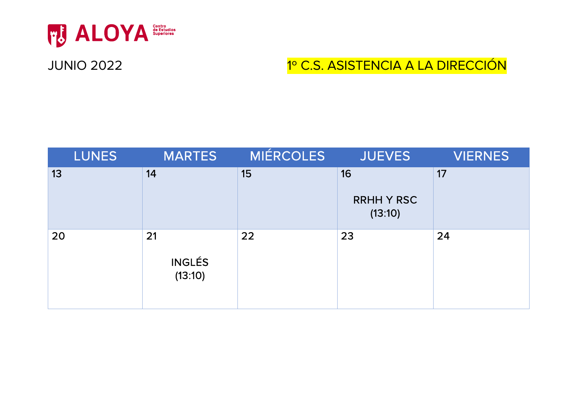

# JUNIO 2022 **1º C.S. ASISTENCIA A LA DIRECCIÓN**

| <b>LUNES</b> | <b>MARTES</b>                  | <b>MIÉRCOLES</b> | <b>JUEVES</b>                      | <b>VIERNES</b> |
|--------------|--------------------------------|------------------|------------------------------------|----------------|
| 13           | 14                             | 15               | 16<br><b>RRHH Y RSC</b><br>(13:10) | 17             |
| 20           | 21<br><b>INGLÉS</b><br>(13:10) | 22               | 23                                 | 24             |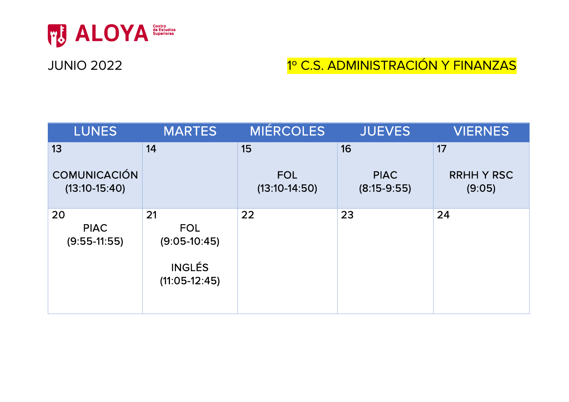

## JUNIO 2022 1º C.S. ADMINISTRACIÓN Y FINANZAS

| <b>LUNES</b>                           | <b>MARTES</b>                                                          | MIÉRCOLES                     | <b>JUEVES</b>                | <b>VIERNES</b>              |
|----------------------------------------|------------------------------------------------------------------------|-------------------------------|------------------------------|-----------------------------|
| 13                                     | 14                                                                     | 15                            | 16                           | 17                          |
| <b>COMUNICACIÓN</b><br>$(13:10-15:40)$ |                                                                        | <b>FOL</b><br>$(13:10-14:50)$ | <b>PIAC</b><br>$(8:15-9:55)$ | <b>RRHH Y RSC</b><br>(9:05) |
| 20<br><b>PIAC</b><br>$(9:55-11:55)$    | 21<br><b>FOL</b><br>$(9:05-10:45)$<br><b>INGLÉS</b><br>$(11:05-12:45)$ | 22                            | 23                           | 24                          |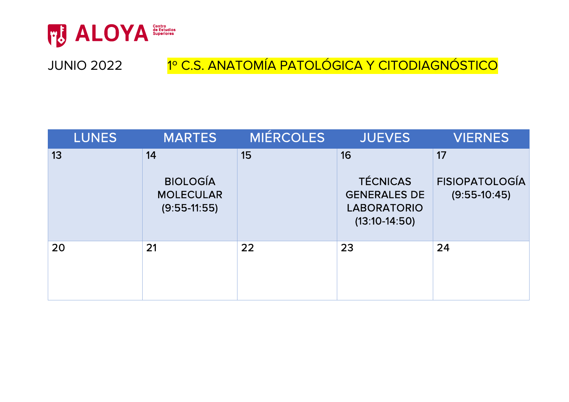

### JUNIO 2022 1º C.S. ANATOMÍA PATOLÓGICA Y CITODIAGNÓSTICO

| <b>LUNES</b> | <b>MARTES</b>                                               | MIÉRCOLES | <b>JUEVES</b>                                                                         | <b>VIERNES</b>                                |
|--------------|-------------------------------------------------------------|-----------|---------------------------------------------------------------------------------------|-----------------------------------------------|
| 13           | 14<br><b>BIOLOGÍA</b><br><b>MOLECULAR</b><br>$(9:55-11:55)$ | 15        | 16<br><b>TÉCNICAS</b><br><b>GENERALES DE</b><br><b>LABORATORIO</b><br>$(13:10-14:50)$ | 17<br><b>FISIOPATOLOGÍA</b><br>$(9:55-10:45)$ |
| 20           | 21                                                          | 22        | 23                                                                                    | 24                                            |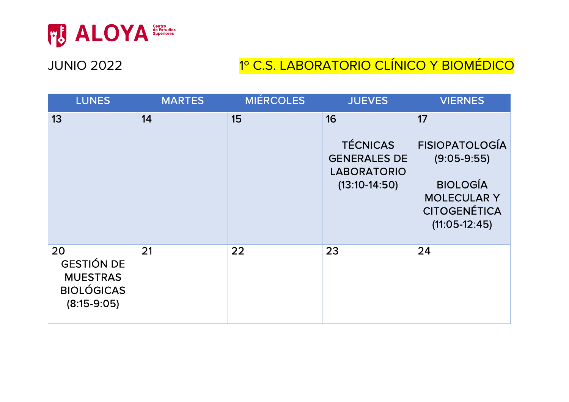

# JUNIO 2022 **1º C.S. LABORATORIO CLÍNICO Y BIOMÉDICO**

| <b>LUNES</b>                                                                     | <b>MARTES</b> | <b>MIÉRCOLES</b> | <b>JUEVES</b>                                                                         | <b>VIERNES</b>                                                                                                                  |
|----------------------------------------------------------------------------------|---------------|------------------|---------------------------------------------------------------------------------------|---------------------------------------------------------------------------------------------------------------------------------|
| 13                                                                               | 14            | 15               | 16<br><b>TÉCNICAS</b><br><b>GENERALES DE</b><br><b>LABORATORIO</b><br>$(13:10-14:50)$ | 17<br><b>FISIOPATOLOGÍA</b><br>$(9:05-9:55)$<br><b>BIOLOGÍA</b><br><b>MOLECULAR Y</b><br><b>CITOGENÉTICA</b><br>$(11:05-12:45)$ |
| 20<br><b>GESTIÓN DE</b><br><b>MUESTRAS</b><br><b>BIOLÓGICAS</b><br>$(8:15-9:05)$ | 21            | 22               | 23                                                                                    | 24                                                                                                                              |